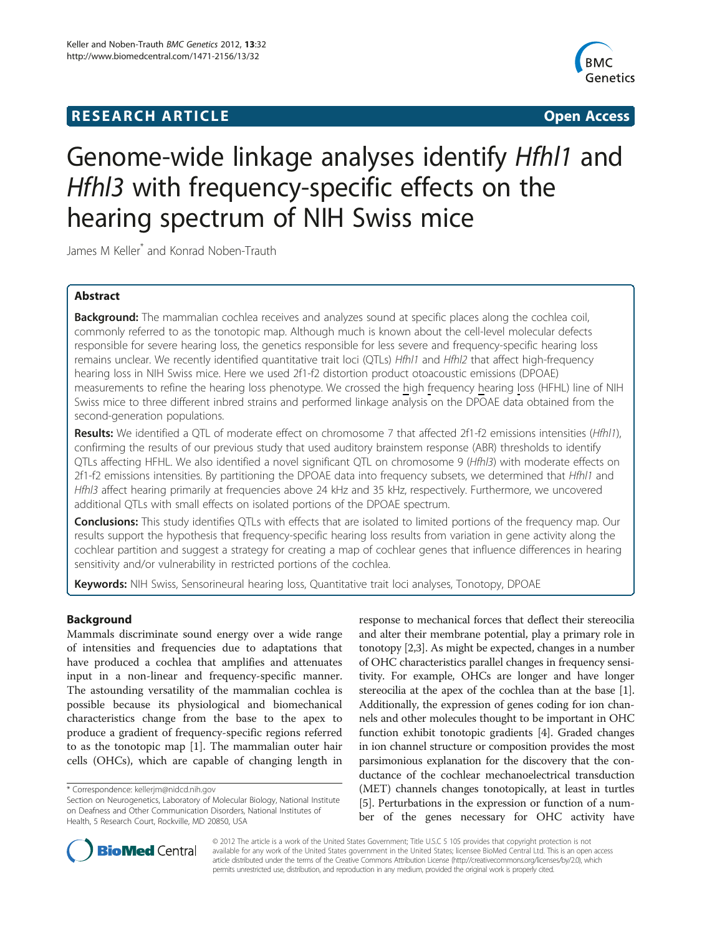# **RESEARCH ARTICLE Example 2014 12:30 The SEARCH ARTICLE**



# Genome-wide linkage analyses identify Hfhl1 and Hfhl3 with frequency-specific effects on the hearing spectrum of NIH Swiss mice

James M Keller\* and Konrad Noben-Trauth

# Abstract

Background: The mammalian cochlea receives and analyzes sound at specific places along the cochlea coil, commonly referred to as the tonotopic map. Although much is known about the cell-level molecular defects responsible for severe hearing loss, the genetics responsible for less severe and frequency-specific hearing loss remains unclear. We recently identified quantitative trait loci (QTLs) Hfhl1 and Hfhl2 that affect high-frequency hearing loss in NIH Swiss mice. Here we used 2f1-f2 distortion product otoacoustic emissions (DPOAE) measurements to refine the hearing loss phenotype. We crossed the high frequency hearing loss (HFHL) line of NIH Swiss mice to three different inbred strains and performed linkage analysis on the DPOAE data obtained from the second-generation populations.

Results: We identified a QTL of moderate effect on chromosome 7 that affected 2f1-f2 emissions intensities (Hfhl1), confirming the results of our previous study that used auditory brainstem response (ABR) thresholds to identify QTLs affecting HFHL. We also identified a novel significant QTL on chromosome 9 (Hfhl3) with moderate effects on 2f1-f2 emissions intensities. By partitioning the DPOAE data into frequency subsets, we determined that Hfhl1 and Hfhl3 affect hearing primarily at frequencies above 24 kHz and 35 kHz, respectively. Furthermore, we uncovered additional QTLs with small effects on isolated portions of the DPOAE spectrum.

**Conclusions:** This study identifies QTLs with effects that are isolated to limited portions of the frequency map. Our results support the hypothesis that frequency-specific hearing loss results from variation in gene activity along the cochlear partition and suggest a strategy for creating a map of cochlear genes that influence differences in hearing sensitivity and/or vulnerability in restricted portions of the cochlea.

Keywords: NIH Swiss, Sensorineural hearing loss, Quantitative trait loci analyses, Tonotopy, DPOAE

# Background

Mammals discriminate sound energy over a wide range of intensities and frequencies due to adaptations that have produced a cochlea that amplifies and attenuates input in a non-linear and frequency-specific manner. The astounding versatility of the mammalian cochlea is possible because its physiological and biomechanical characteristics change from the base to the apex to produce a gradient of frequency-specific regions referred to as the tonotopic map [\[1](#page-13-0)]. The mammalian outer hair cells (OHCs), which are capable of changing length in response to mechanical forces that deflect their stereocilia and alter their membrane potential, play a primary role in tonotopy [\[2,3\]](#page-13-0). As might be expected, changes in a number of OHC characteristics parallel changes in frequency sensitivity. For example, OHCs are longer and have longer stereocilia at the apex of the cochlea than at the base [[1](#page-13-0)]. Additionally, the expression of genes coding for ion channels and other molecules thought to be important in OHC function exhibit tonotopic gradients [\[4](#page-13-0)]. Graded changes in ion channel structure or composition provides the most parsimonious explanation for the discovery that the conductance of the cochlear mechanoelectrical transduction (MET) channels changes tonotopically, at least in turtles [[5\]](#page-13-0). Perturbations in the expression or function of a number of the genes necessary for OHC activity have



© 2012 The article is a work of the United States Government; Title U.S.C 5 105 provides that copyright protection is not available for any work of the United States government in the United States; licensee BioMed Central Ltd. This is an open access article distributed under the terms of the Creative Commons Attribution License (http://creativecommons.org/licenses/by/2.0), which permits unrestricted use, distribution, and reproduction in any medium, provided the original work is properly cited.

<sup>\*</sup> Correspondence: [kellerjm@nidcd.nih.gov](mailto:kellerjm@nidcd.nih.gov)

Section on Neurogenetics, Laboratory of Molecular Biology, National Institute on Deafness and Other Communication Disorders, National Institutes of Health, 5 Research Court, Rockville, MD 20850, USA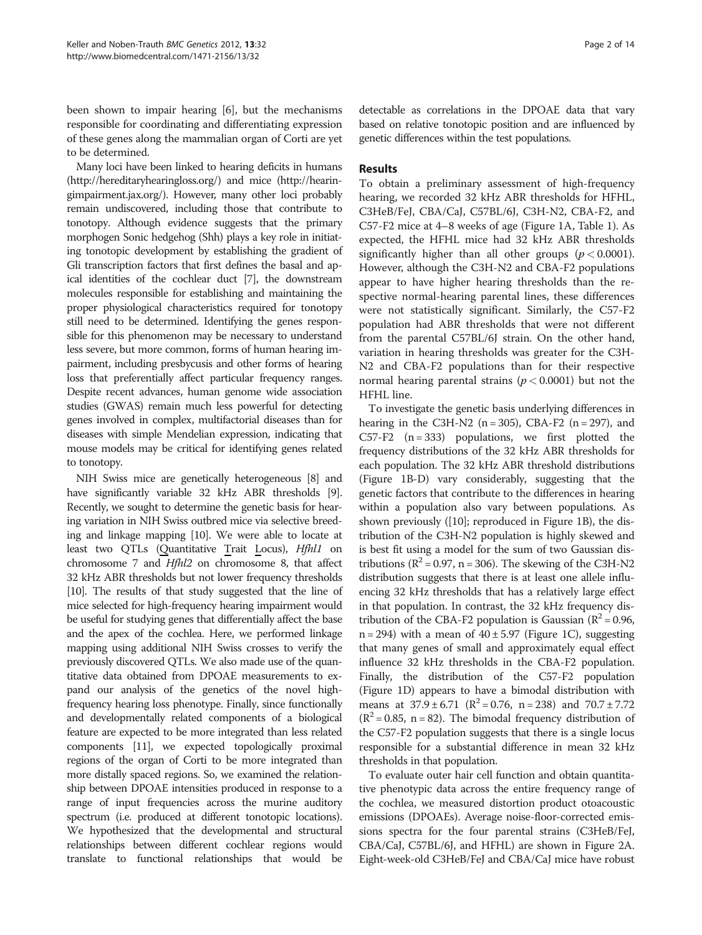been shown to impair hearing [\[6](#page-13-0)], but the mechanisms responsible for coordinating and differentiating expression of these genes along the mammalian organ of Corti are yet to be determined.

Many loci have been linked to hearing deficits in humans (http://hereditaryhearingloss.org/) and mice (http://hearingimpairment.jax.org/). However, many other loci probably remain undiscovered, including those that contribute to tonotopy. Although evidence suggests that the primary morphogen Sonic hedgehog (Shh) plays a key role in initiating tonotopic development by establishing the gradient of Gli transcription factors that first defines the basal and apical identities of the cochlear duct [[7](#page-13-0)], the downstream molecules responsible for establishing and maintaining the proper physiological characteristics required for tonotopy still need to be determined. Identifying the genes responsible for this phenomenon may be necessary to understand less severe, but more common, forms of human hearing impairment, including presbycusis and other forms of hearing loss that preferentially affect particular frequency ranges. Despite recent advances, human genome wide association studies (GWAS) remain much less powerful for detecting genes involved in complex, multifactorial diseases than for diseases with simple Mendelian expression, indicating that mouse models may be critical for identifying genes related to tonotopy.

NIH Swiss mice are genetically heterogeneous [\[8](#page-13-0)] and have significantly variable 32 kHz ABR thresholds [[9](#page-13-0)]. Recently, we sought to determine the genetic basis for hearing variation in NIH Swiss outbred mice via selective breeding and linkage mapping [[10](#page-13-0)]. We were able to locate at least two QTLs (Quantitative Trait Locus), Hfhl1 on chromosome 7 and Hfhl2 on chromosome 8, that affect 32 kHz ABR thresholds but not lower frequency thresholds [[10](#page-13-0)]. The results of that study suggested that the line of mice selected for high-frequency hearing impairment would be useful for studying genes that differentially affect the base and the apex of the cochlea. Here, we performed linkage mapping using additional NIH Swiss crosses to verify the previously discovered QTLs. We also made use of the quantitative data obtained from DPOAE measurements to expand our analysis of the genetics of the novel highfrequency hearing loss phenotype. Finally, since functionally and developmentally related components of a biological feature are expected to be more integrated than less related components [[11\]](#page-13-0), we expected topologically proximal regions of the organ of Corti to be more integrated than more distally spaced regions. So, we examined the relationship between DPOAE intensities produced in response to a range of input frequencies across the murine auditory spectrum (i.e. produced at different tonotopic locations). We hypothesized that the developmental and structural relationships between different cochlear regions would translate to functional relationships that would be detectable as correlations in the DPOAE data that vary based on relative tonotopic position and are influenced by genetic differences within the test populations.

# Results

To obtain a preliminary assessment of high-frequency hearing, we recorded 32 kHz ABR thresholds for HFHL, C3HeB/FeJ, CBA/CaJ, C57BL/6J, C3H-N2, CBA-F2, and C57-F2 mice at 4–8 weeks of age (Figure [1A](#page-2-0), Table [1\)](#page-2-0). As expected, the HFHL mice had 32 kHz ABR thresholds significantly higher than all other groups ( $p < 0.0001$ ). However, although the C3H-N2 and CBA-F2 populations appear to have higher hearing thresholds than the respective normal-hearing parental lines, these differences were not statistically significant. Similarly, the C57-F2 population had ABR thresholds that were not different from the parental C57BL/6J strain. On the other hand, variation in hearing thresholds was greater for the C3H-N2 and CBA-F2 populations than for their respective normal hearing parental strains ( $p < 0.0001$ ) but not the HFHL line.

To investigate the genetic basis underlying differences in hearing in the C3H-N2 ( $n = 305$ ), CBA-F2 ( $n = 297$ ), and C57-F2  $(n = 333)$  populations, we first plotted the frequency distributions of the 32 kHz ABR thresholds for each population. The 32 kHz ABR threshold distributions (Figure [1B-D](#page-2-0)) vary considerably, suggesting that the genetic factors that contribute to the differences in hearing within a population also vary between populations. As shown previously ([[10](#page-13-0)]; reproduced in Figure [1B\)](#page-2-0), the distribution of the C3H-N2 population is highly skewed and is best fit using a model for the sum of two Gaussian distributions ( $\mathbb{R}^2$  = 0.97, n = 306). The skewing of the C3H-N2 distribution suggests that there is at least one allele influencing 32 kHz thresholds that has a relatively large effect in that population. In contrast, the 32 kHz frequency distribution of the CBA-F2 population is Gaussian ( $R^2 = 0.96$ ,  $n = 294$ ) with a mean of  $40 \pm 5.97$  (Figure [1C](#page-2-0)), suggesting that many genes of small and approximately equal effect influence 32 kHz thresholds in the CBA-F2 population. Finally, the distribution of the C57-F2 population (Figure [1D\)](#page-2-0) appears to have a bimodal distribution with means at  $37.9 \pm 6.71$  ( $R^2 = 0.76$ , n = 238) and  $70.7 \pm 7.72$  $(R^2 = 0.85, n = 82)$ . The bimodal frequency distribution of the C57-F2 population suggests that there is a single locus responsible for a substantial difference in mean 32 kHz thresholds in that population.

To evaluate outer hair cell function and obtain quantitative phenotypic data across the entire frequency range of the cochlea, we measured distortion product otoacoustic emissions (DPOAEs). Average noise-floor-corrected emissions spectra for the four parental strains (C3HeB/FeJ, CBA/CaJ, C57BL/6J, and HFHL) are shown in Figure [2A](#page-3-0). Eight-week-old C3HeB/FeJ and CBA/CaJ mice have robust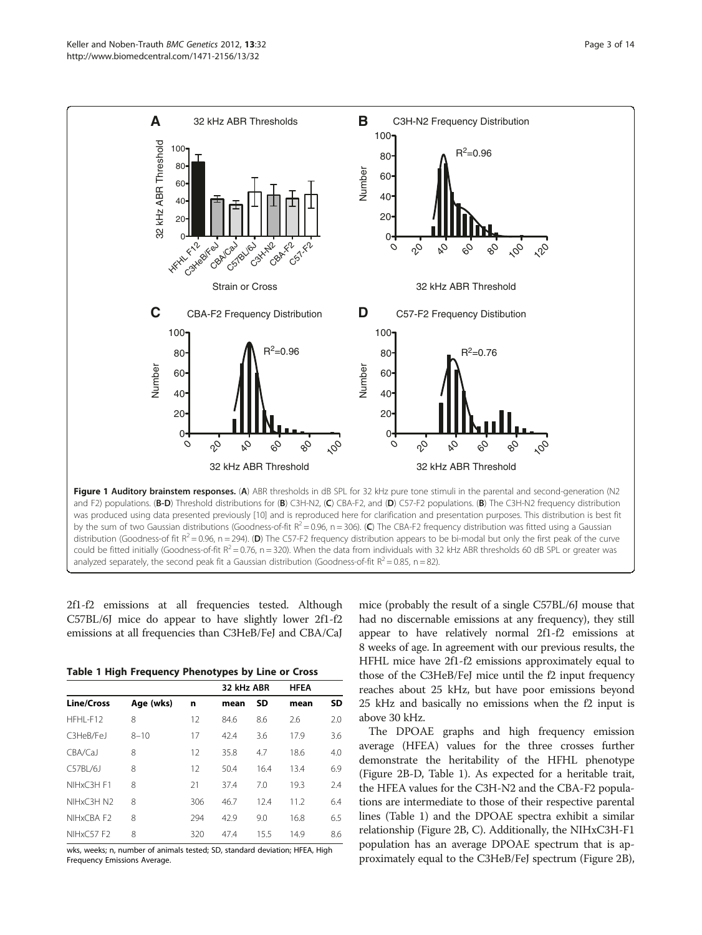<span id="page-2-0"></span>

2f1-f2 emissions at all frequencies tested. Although C57BL/6J mice do appear to have slightly lower 2f1-f2 emissions at all frequencies than C3HeB/FeJ and CBA/CaJ

Table 1 High Frequency Phenotypes by Line or Cross

|           |     | 32 kHz ABR |           | <b>HFEA</b> |           |
|-----------|-----|------------|-----------|-------------|-----------|
| Age (wks) | n   | mean       | <b>SD</b> | mean        | <b>SD</b> |
| 8         | 12  | 84.6       | 8.6       | 2.6         | 2.0       |
| $8 - 10$  | 17  | 42.4       | 3.6       | 17.9        | 3.6       |
| 8         | 12  | 35.8       | 4.7       | 18.6        | 4.0       |
| 8         | 12  | 50.4       | 16.4      | 13.4        | 6.9       |
| 8         | 21  | 37.4       | 7.0       | 19.3        | 2.4       |
| 8         | 306 | 46.7       | 12.4      | 11.2        | 6.4       |
| 8         | 294 | 42.9       | 9.0       | 16.8        | 6.5       |
| 8         | 320 | 47.4       | 15.5      | 14.9        | 8.6       |
|           |     |            |           |             |           |

wks, weeks; n, number of animals tested; SD, standard deviation; HFEA, High Frequency Emissions Average.

mice (probably the result of a single C57BL/6J mouse that had no discernable emissions at any frequency), they still appear to have relatively normal 2f1-f2 emissions at 8 weeks of age. In agreement with our previous results, the HFHL mice have 2f1-f2 emissions approximately equal to those of the C3HeB/FeJ mice until the f2 input frequency reaches about 25 kHz, but have poor emissions beyond 25 kHz and basically no emissions when the f2 input is above 30 kHz.

The DPOAE graphs and high frequency emission average (HFEA) values for the three crosses further demonstrate the heritability of the HFHL phenotype (Figure [2B-D,](#page-3-0) Table 1). As expected for a heritable trait, the HFEA values for the C3H-N2 and the CBA-F2 populations are intermediate to those of their respective parental lines (Table 1) and the DPOAE spectra exhibit a similar relationship (Figure [2B,](#page-3-0) C). Additionally, the NIHxC3H-F1 population has an average DPOAE spectrum that is approximately equal to the C3HeB/FeJ spectrum (Figure [2B](#page-3-0)),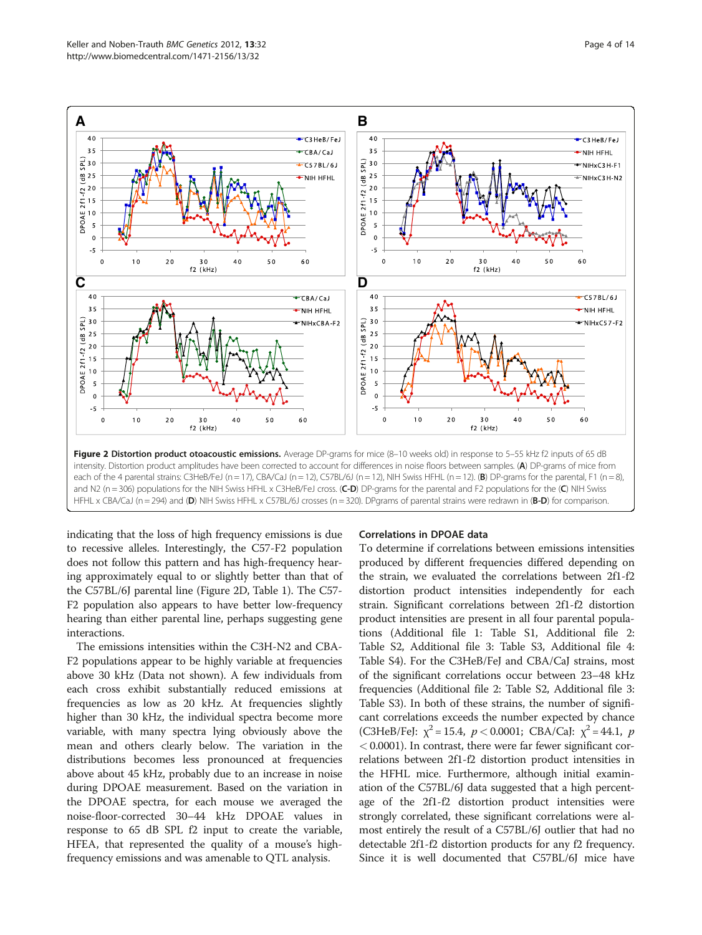<span id="page-3-0"></span>

indicating that the loss of high frequency emissions is due to recessive alleles. Interestingly, the C57-F2 population does not follow this pattern and has high-frequency hearing approximately equal to or slightly better than that of the C57BL/6J parental line (Figure 2D, Table [1\)](#page-2-0). The C57- F2 population also appears to have better low-frequency hearing than either parental line, perhaps suggesting gene interactions.

The emissions intensities within the C3H-N2 and CBA-F2 populations appear to be highly variable at frequencies above 30 kHz (Data not shown). A few individuals from each cross exhibit substantially reduced emissions at frequencies as low as 20 kHz. At frequencies slightly higher than 30 kHz, the individual spectra become more variable, with many spectra lying obviously above the mean and others clearly below. The variation in the distributions becomes less pronounced at frequencies above about 45 kHz, probably due to an increase in noise during DPOAE measurement. Based on the variation in the DPOAE spectra, for each mouse we averaged the noise-floor-corrected 30–44 kHz DPOAE values in response to 65 dB SPL f2 input to create the variable, HFEA, that represented the quality of a mouse's highfrequency emissions and was amenable to QTL analysis.

#### Correlations in DPOAE data

To determine if correlations between emissions intensities produced by different frequencies differed depending on the strain, we evaluated the correlations between 2f1-f2 distortion product intensities independently for each strain. Significant correlations between 2f1-f2 distortion product intensities are present in all four parental populations (Additional file 1: Table [S1,](#page-12-0) Additional file 2: Table [S2](#page-12-0), Additional file 3: Table [S3](#page-12-0), Additional file 4: Table [S4](#page-12-0)). For the C3HeB/FeJ and CBA/CaJ strains, most of the significant correlations occur between 23–48 kHz frequencies (Additional file 2: Table [S2](#page-12-0), Additional file 3: Table [S3](#page-12-0)). In both of these strains, the number of significant correlations exceeds the number expected by chance (C3HeB/FeJ:  $\chi^2$  = 15.4,  $p < 0.0001$ ; CBA/CaJ:  $\chi^2$  = 44.1, p  $<$  0.0001). In contrast, there were far fewer significant correlations between 2f1-f2 distortion product intensities in the HFHL mice. Furthermore, although initial examination of the C57BL/6J data suggested that a high percentage of the 2f1-f2 distortion product intensities were strongly correlated, these significant correlations were almost entirely the result of a C57BL/6J outlier that had no detectable 2f1-f2 distortion products for any f2 frequency. Since it is well documented that C57BL/6J mice have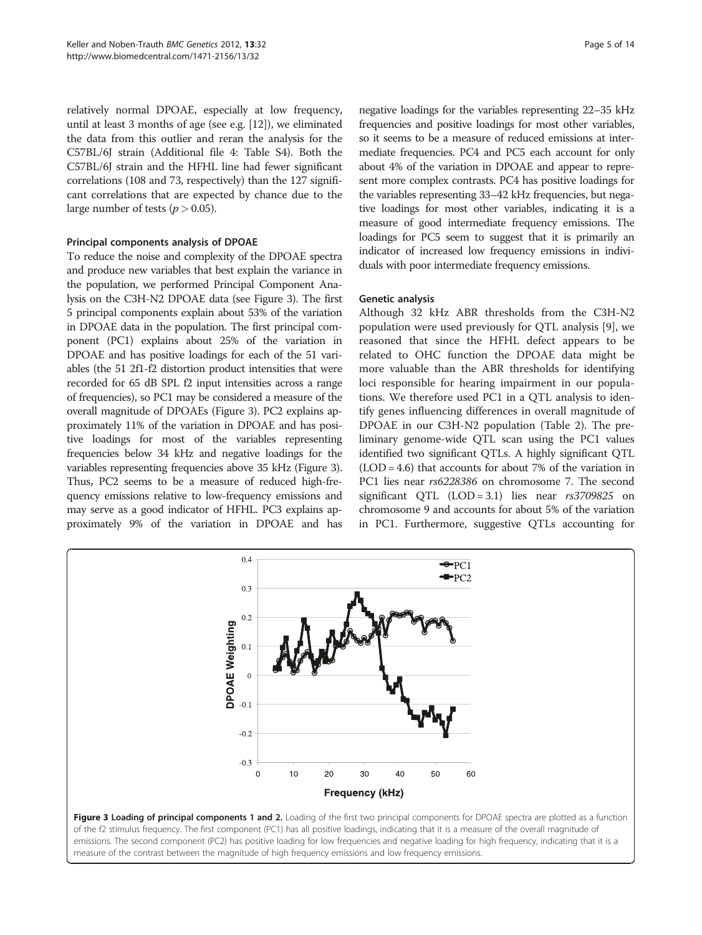relatively normal DPOAE, especially at low frequency, until at least 3 months of age (see e.g. [\[12\]](#page-13-0)), we eliminated the data from this outlier and reran the analysis for the C57BL/6J strain (Additional file 4: Table [S4](#page-12-0)). Both the C57BL/6J strain and the HFHL line had fewer significant correlations (108 and 73, respectively) than the 127 significant correlations that are expected by chance due to the large number of tests ( $p > 0.05$ ).

#### Principal components analysis of DPOAE

To reduce the noise and complexity of the DPOAE spectra and produce new variables that best explain the variance in the population, we performed Principal Component Analysis on the C3H-N2 DPOAE data (see Figure 3). The first 5 principal components explain about 53% of the variation in DPOAE data in the population. The first principal component (PC1) explains about 25% of the variation in DPOAE and has positive loadings for each of the 51 variables (the 51 2f1-f2 distortion product intensities that were recorded for 65 dB SPL f2 input intensities across a range of frequencies), so PC1 may be considered a measure of the overall magnitude of DPOAEs (Figure 3). PC2 explains approximately 11% of the variation in DPOAE and has positive loadings for most of the variables representing frequencies below 34 kHz and negative loadings for the variables representing frequencies above 35 kHz (Figure 3). Thus, PC2 seems to be a measure of reduced high-frequency emissions relative to low-frequency emissions and may serve as a good indicator of HFHL. PC3 explains approximately 9% of the variation in DPOAE and has

negative loadings for the variables representing 22–35 kHz frequencies and positive loadings for most other variables, so it seems to be a measure of reduced emissions at intermediate frequencies. PC4 and PC5 each account for only about 4% of the variation in DPOAE and appear to represent more complex contrasts. PC4 has positive loadings for the variables representing 33–42 kHz frequencies, but negative loadings for most other variables, indicating it is a measure of good intermediate frequency emissions. The loadings for PC5 seem to suggest that it is primarily an indicator of increased low frequency emissions in individuals with poor intermediate frequency emissions.

#### Genetic analysis

Although 32 kHz ABR thresholds from the C3H-N2 population were used previously for QTL analysis [\[9](#page-13-0)], we reasoned that since the HFHL defect appears to be related to OHC function the DPOAE data might be more valuable than the ABR thresholds for identifying loci responsible for hearing impairment in our populations. We therefore used PC1 in a QTL analysis to identify genes influencing differences in overall magnitude of DPOAE in our C3H-N2 population (Table [2\)](#page-5-0). The preliminary genome-wide QTL scan using the PC1 values identified two significant QTLs. A highly significant QTL (LOD = 4.6) that accounts for about 7% of the variation in PC1 lies near rs6228386 on chromosome 7. The second significant QTL  $(LOD = 3.1)$  lies near  $rs3709825$  on chromosome 9 and accounts for about 5% of the variation in PC1. Furthermore, suggestive QTLs accounting for



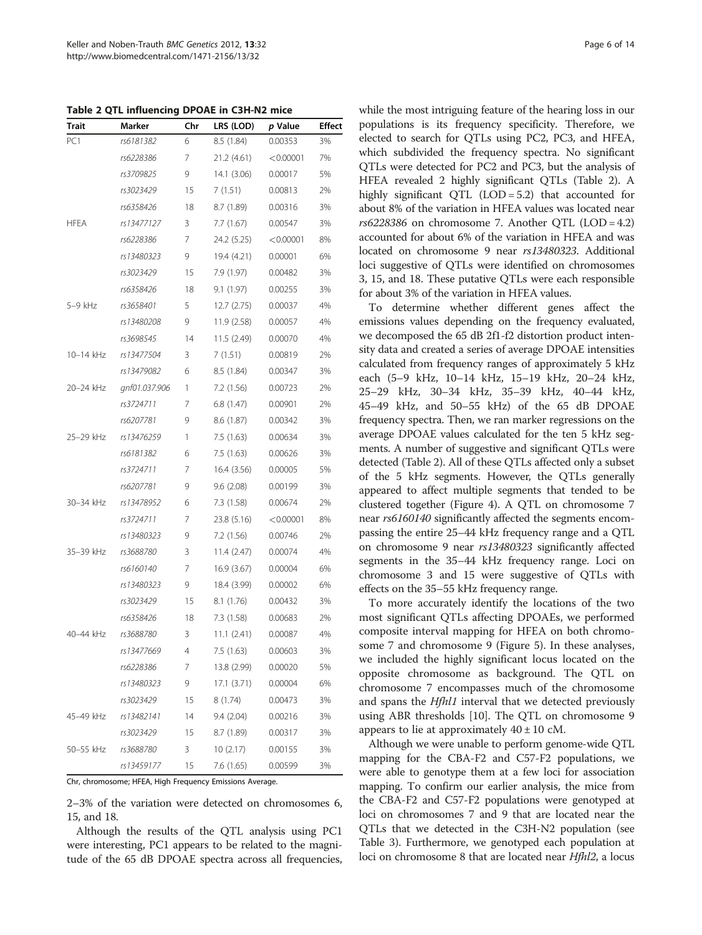<span id="page-5-0"></span>Table 2 QTL influencing DPOAE in C3H-N2 mice

| <b>Trait</b>    | Marker        | Chr | LRS (LOD)   | p Value   | Effect |
|-----------------|---------------|-----|-------------|-----------|--------|
| PC <sub>1</sub> | rs6181382     | 6   | 8.5 (1.84)  | 0.00353   | 3%     |
|                 | rs6228386     | 7   | 21.2 (4.61) | < 0.00001 | 7%     |
|                 | rs3709825     | 9   | 14.1 (3.06) | 0.00017   | 5%     |
|                 | rs3023429     | 15  | 7(1.51)     | 0.00813   | 2%     |
|                 | rs6358426     | 18  | 8.7 (1.89)  | 0.00316   | 3%     |
| <b>HFEA</b>     | rs13477127    | 3   | 7.7(1.67)   | 0.00547   | 3%     |
|                 | rs6228386     | 7   | 24.2 (5.25) | < 0.00001 | 8%     |
|                 | rs13480323    | 9   | 19.4 (4.21) | 0.00001   | 6%     |
|                 | rs3023429     | 15  | 7.9 (1.97)  | 0.00482   | 3%     |
|                 | rs6358426     | 18  | 9.1(1.97)   | 0.00255   | 3%     |
| 5-9 kHz         | rs3658401     | 5   | 12.7(2.75)  | 0.00037   | 4%     |
|                 | rs13480208    | 9   | 11.9 (2.58) | 0.00057   | 4%     |
|                 | rs3698545     | 14  | 11.5 (2.49) | 0.00070   | 4%     |
| 10-14 kHz       | rs13477504    | 3   | 7(1.51)     | 0.00819   | 2%     |
|                 | rs13479082    | 6   | 8.5 (1.84)  | 0.00347   | 3%     |
| 20-24 kHz       | qnf01.037.906 | 1   | 7.2 (1.56)  | 0.00723   | 2%     |
|                 | rs3724711     | 7   | 6.8(1.47)   | 0.00901   | 2%     |
|                 | rs6207781     | 9   | 8.6 (1.87)  | 0.00342   | 3%     |
| 25-29 kHz       | rs13476259    | 1   | 7.5(1.63)   | 0.00634   | 3%     |
|                 | rs6181382     | 6   | 7.5(1.63)   | 0.00626   | 3%     |
|                 | rs3724711     | 7   | 16.4 (3.56) | 0.00005   | 5%     |
|                 | rs6207781     | 9   | 9.6(2.08)   | 0.00199   | 3%     |
| 30-34 kHz       | rs13478952    | 6   | 7.3(1.58)   | 0.00674   | 2%     |
|                 | rs3724711     | 7   | 23.8 (5.16) | < 0.00001 | 8%     |
|                 | rs13480323    | 9   | 7.2 (1.56)  | 0.00746   | 2%     |
| 35-39 kHz       | rs3688780     | 3   | 11.4(2.47)  | 0.00074   | 4%     |
|                 | rs6160140     | 7   | 16.9 (3.67) | 0.00004   | 6%     |
|                 | rs13480323    | 9   | 18.4 (3.99) | 0.00002   | 6%     |
|                 | rs3023429     | 15  | 8.1(1.76)   | 0.00432   | 3%     |
|                 | rs6358426     | 18  | 7.3 (1.58)  | 0.00683   | 2%     |
| 40-44 kHz       | rs3688780     | 3   | 11.1(2.41)  | 0.00087   | 4%     |
|                 | rs13477669    | 4   | 7.5 (1.63)  | 0.00603   | 3%     |
|                 | rs6228386     | 7   | 13.8 (2.99) | 0.00020   | 5%     |
|                 | rs13480323    | 9   | 17.1(3.71)  | 0.00004   | 6%     |
|                 | rs3023429     | 15  | 8 (1.74)    | 0.00473   | 3%     |
| 45-49 kHz       | rs13482141    | 14  | 9.4(2.04)   | 0.00216   | 3%     |
|                 | rs3023429     | 15  | 8.7 (1.89)  | 0.00317   | 3%     |
| 50-55 kHz       | rs3688780     | 3   | 10(2.17)    | 0.00155   | 3%     |
|                 | rs13459177    | 15  | 7.6 (1.65)  | 0.00599   | 3%     |

Chr, chromosome; HFEA, High Frequency Emissions Average.

2–3% of the variation were detected on chromosomes 6, 15, and 18.

Although the results of the QTL analysis using PC1 were interesting, PC1 appears to be related to the magnitude of the 65 dB DPOAE spectra across all frequencies, while the most intriguing feature of the hearing loss in our populations is its frequency specificity. Therefore, we elected to search for QTLs using PC2, PC3, and HFEA, which subdivided the frequency spectra. No significant QTLs were detected for PC2 and PC3, but the analysis of HFEA revealed 2 highly significant QTLs (Table 2). A highly significant QTL (LOD = 5.2) that accounted for about 8% of the variation in HFEA values was located near rs6228386 on chromosome 7. Another QTL (LOD = 4.2) accounted for about 6% of the variation in HFEA and was located on chromosome 9 near rs13480323. Additional loci suggestive of QTLs were identified on chromosomes 3, 15, and 18. These putative QTLs were each responsible for about 3% of the variation in HFEA values.

To determine whether different genes affect the emissions values depending on the frequency evaluated, we decomposed the 65 dB 2f1-f2 distortion product intensity data and created a series of average DPOAE intensities calculated from frequency ranges of approximately 5 kHz each (5–9 kHz, 10–14 kHz, 15–19 kHz, 20–24 kHz, 25–29 kHz, 30–34 kHz, 35–39 kHz, 40–44 kHz, 45–49 kHz, and 50–55 kHz) of the 65 dB DPOAE frequency spectra. Then, we ran marker regressions on the average DPOAE values calculated for the ten 5 kHz segments. A number of suggestive and significant QTLs were detected (Table 2). All of these QTLs affected only a subset of the 5 kHz segments. However, the QTLs generally appeared to affect multiple segments that tended to be clustered together (Figure [4](#page-6-0)). A QTL on chromosome 7 near rs6160140 significantly affected the segments encompassing the entire 25–44 kHz frequency range and a QTL on chromosome 9 near rs13480323 significantly affected segments in the 35–44 kHz frequency range. Loci on chromosome 3 and 15 were suggestive of QTLs with effects on the 35–55 kHz frequency range.

To more accurately identify the locations of the two most significant QTLs affecting DPOAEs, we performed composite interval mapping for HFEA on both chromosome 7 and chromosome 9 (Figure [5](#page-6-0)). In these analyses, we included the highly significant locus located on the opposite chromosome as background. The QTL on chromosome 7 encompasses much of the chromosome and spans the *Hfhl1* interval that we detected previously using ABR thresholds [\[10](#page-13-0)]. The QTL on chromosome 9 appears to lie at approximately  $40 \pm 10$  cM.

Although we were unable to perform genome-wide QTL mapping for the CBA-F2 and C57-F2 populations, we were able to genotype them at a few loci for association mapping. To confirm our earlier analysis, the mice from the CBA-F2 and C57-F2 populations were genotyped at loci on chromosomes 7 and 9 that are located near the QTLs that we detected in the C3H-N2 population (see Table [3](#page-7-0)). Furthermore, we genotyped each population at loci on chromosome 8 that are located near Hfhl2, a locus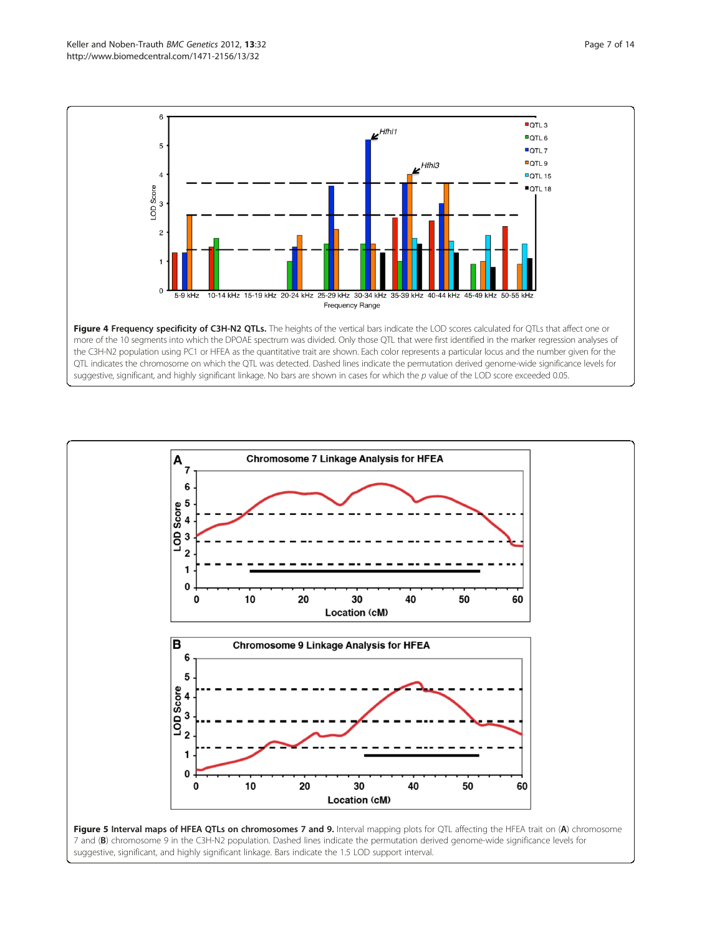<span id="page-6-0"></span>

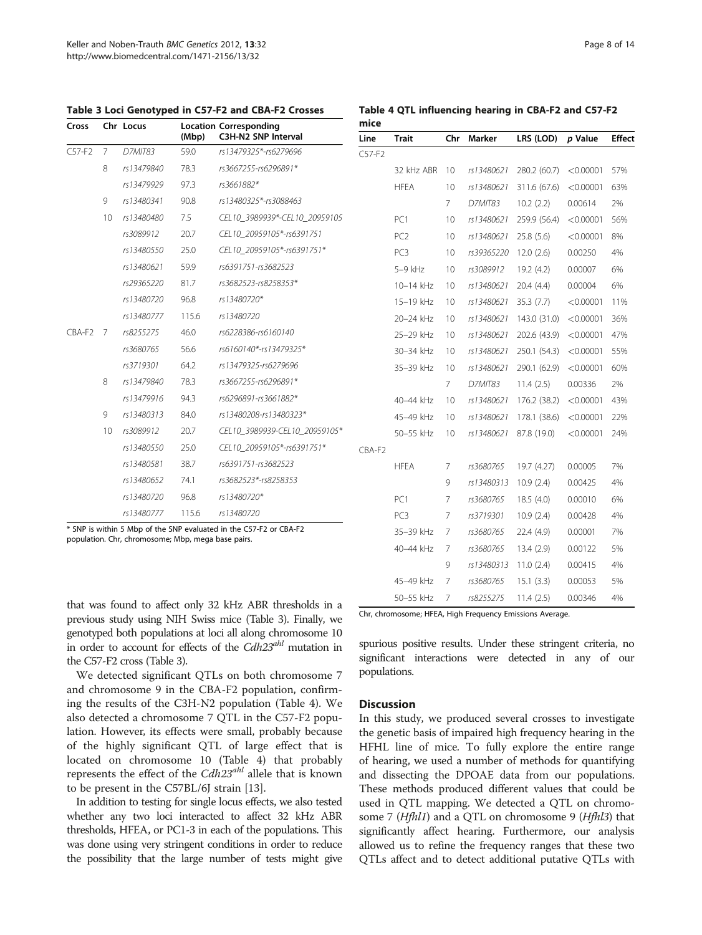| Cross                      |    | Chr Locus  | (Mbp) | <b>Location Corresponding</b><br>C3H-N2 SNP Interval |
|----------------------------|----|------------|-------|------------------------------------------------------|
| $C57-F2$<br>$\overline{7}$ |    | D7MIT83    | 59.0  | rs13479325*-rs6279696                                |
|                            | 8  | rs13479840 | 78.3  | rs3667255-rs6296891*                                 |
|                            |    | rs13479929 | 97.3  | rs3661882*                                           |
|                            | 9  | rs13480341 | 90.8  | rs13480325*-rs3088463                                |
|                            | 10 | rs13480480 | 7.5   | CEL10 3989939*-CEL10 20959105                        |
|                            |    | rs3089912  | 20.7  | CEL10 20959105*-rs6391751                            |
|                            |    | rs13480550 | 25.0  | CEL10 20959105*-rs6391751*                           |
|                            |    | rs13480621 | 59.9  | rs6391751-rs3682523                                  |
|                            |    | rs29365220 | 81.7  | rs3682523-rs8258353*                                 |
|                            |    | rs13480720 | 96.8  | rs13480720*                                          |
|                            |    | rs13480777 | 115.6 | rs13480720                                           |
| CBA-F2                     | 7  | rs8255275  | 46.0  | rs6228386-rs6160140                                  |
|                            |    | rs3680765  | 56.6  | rs6160140*-rs13479325*                               |
|                            |    | rs3719301  | 64.2  | rs13479325-rs6279696                                 |
|                            | 8  | rs13479840 | 78.3  | rs3667255-rs6296891*                                 |
|                            |    | rs13479916 | 94.3  | rs6296891-rs3661882*                                 |
|                            | 9  | rs13480313 | 84.0  | rs13480208-rs13480323*                               |
|                            | 10 | rs3089912  | 20.7  | CEL10_3989939-CEL10_20959105*                        |
|                            |    | rs13480550 | 25.0  | CEL10 20959105*-rs6391751*                           |
|                            |    | rs13480581 | 38.7  | rs6391751-rs3682523                                  |
|                            |    | rs13480652 | 74.1  | rs3682523*-rs8258353                                 |
|                            |    | rs13480720 | 96.8  | rs13480720*                                          |
|                            |    | rs13480777 | 115.6 | rs13480720                                           |

<span id="page-7-0"></span>Table 3 Loci Genotyped in C57-F2 and CBA-F2 Crosses

Table 4 QTL influencing hearing in CBA-F2 and C57-F2

| Line     | <b>Trait</b>    | Chr | Marker         | LRS (LOD)    | p Value   | <b>Effect</b> |
|----------|-----------------|-----|----------------|--------------|-----------|---------------|
| $C57-F2$ |                 |     |                |              |           |               |
|          | 32 kHz ABR      | 10  | rs13480621     | 280.2 (60.7) | < 0.00001 | 57%           |
|          | <b>HFEA</b>     | 10  | rs13480621     | 311.6 (67.6) | < 0.00001 | 63%           |
|          |                 | 7   | <b>D7MIT83</b> | 10.2(2.2)    | 0.00614   | 2%            |
|          | PC <sub>1</sub> | 10  | rs13480621     | 259.9 (56.4) | < 0.00001 | 56%           |
|          | PC <sub>2</sub> | 10  | rs13480621     | 25.8(5.6)    | < 0.00001 | 8%            |
|          | PC <sub>3</sub> | 10  | rs39365220     | 12.0(2.6)    | 0.00250   | 4%            |
|          | 5-9 kHz         | 10  | rs3089912      | 19.2 (4.2)   | 0.00007   | 6%            |
|          | 10-14 kHz       | 10  | rs13480621     | 20.4 (4.4)   | 0.00004   | 6%            |
|          | 15-19 kHz       | 10  | rs13480621     | 35.3(7.7)    | < 0.00001 | 11%           |
|          | 20-24 kHz       | 10  | rs13480621     | 143.0 (31.0) | < 0.00001 | 36%           |
|          | 25-29 kHz       | 10  | rs13480621     | 202.6 (43.9) | < 0.00001 | 47%           |
|          | 30-34 kHz       | 10  | rs13480621     | 250.1 (54.3) | < 0.00001 | 55%           |
|          | 35-39 kHz       | 10  | rs13480621     | 290.1 (62.9) | < 0.00001 | 60%           |
|          |                 | 7   | <b>D7MIT83</b> | 11.4(2.5)    | 0.00336   | 2%            |
|          | 40-44 kHz       | 10  | rs13480621     | 176.2 (38.2) | < 0.00001 | 43%           |
|          | 45-49 kHz       | 10  | rs13480621     | 178.1 (38.6) | < 0.00001 | 22%           |
|          | 50-55 kHz       | 10  | rs13480621     | 87.8 (19.0)  | < 0.00001 | 24%           |
| CBA-F2   |                 |     |                |              |           |               |
|          | <b>HFEA</b>     | 7   | rs3680765      | 19.7 (4.27)  | 0.00005   | 7%            |
|          |                 | 9   | rs13480313     | 10.9(2.4)    | 0.00425   | 4%            |
|          | PC1             | 7   | rs3680765      | 18.5 (4.0)   | 0.00010   | 6%            |
|          | PC <sub>3</sub> | 7   | rs3719301      | 10.9(2.4)    | 0.00428   | 4%            |
|          | 35-39 kHz       | 7   | rs3680765      | 22.4 (4.9)   | 0.00001   | 7%            |
|          | 40-44 kHz       | 7   | rs3680765      | 13.4(2.9)    | 0.00122   | 5%            |
|          |                 | 9   | rs13480313     | 11.0(2.4)    | 0.00415   | 4%            |
|          | 45-49 kHz       | 7   | rs3680765      | 15.1(3.3)    | 0.00053   | 5%            |
|          | 50-55 kHz       | 7   | rs8255275      | 11.4(2.5)    | 0.00346   | 4%            |

that was found to affect only 32 kHz ABR thresholds in a previous study using NIH Swiss mice (Table 3). Finally, we genotyped both populations at loci all along chromosome 10 in order to account for effects of the  $Cdh23^{ahl}$  mutation in the C57-F2 cross (Table 3).

We detected significant QTLs on both chromosome 7 and chromosome 9 in the CBA-F2 population, confirming the results of the C3H-N2 population (Table 4). We also detected a chromosome 7 QTL in the C57-F2 population. However, its effects were small, probably because of the highly significant QTL of large effect that is located on chromosome 10 (Table 4) that probably represents the effect of the Cdh23<sup>ahl</sup> allele that is known to be present in the C57BL/6J strain [[13](#page-13-0)].

In addition to testing for single locus effects, we also tested whether any two loci interacted to affect 32 kHz ABR thresholds, HFEA, or PC1-3 in each of the populations. This was done using very stringent conditions in order to reduce the possibility that the large number of tests might give Chr, chromosome; HFEA, High Frequency Emissions Average.

spurious positive results. Under these stringent criteria, no significant interactions were detected in any of our populations.

#### **Discussion**

In this study, we produced several crosses to investigate the genetic basis of impaired high frequency hearing in the HFHL line of mice. To fully explore the entire range of hearing, we used a number of methods for quantifying and dissecting the DPOAE data from our populations. These methods produced different values that could be used in QTL mapping. We detected a QTL on chromosome 7 (*Hfhl1*) and a QTL on chromosome 9 (*Hfhl3*) that significantly affect hearing. Furthermore, our analysis allowed us to refine the frequency ranges that these two QTLs affect and to detect additional putative QTLs with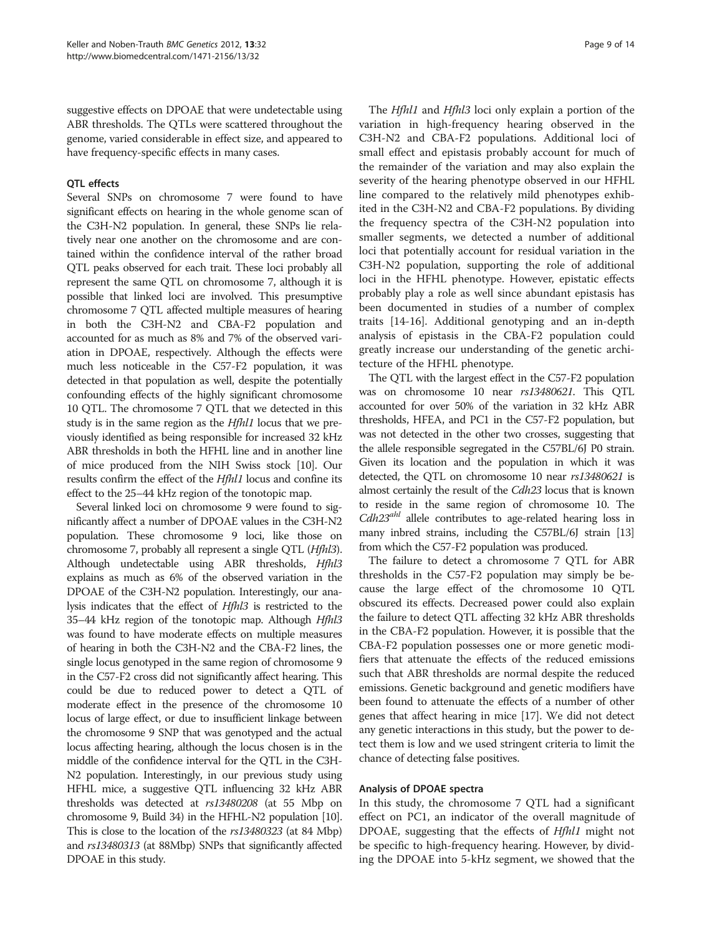suggestive effects on DPOAE that were undetectable using ABR thresholds. The QTLs were scattered throughout the genome, varied considerable in effect size, and appeared to have frequency-specific effects in many cases.

### QTL effects

Several SNPs on chromosome 7 were found to have significant effects on hearing in the whole genome scan of the C3H-N2 population. In general, these SNPs lie relatively near one another on the chromosome and are contained within the confidence interval of the rather broad QTL peaks observed for each trait. These loci probably all represent the same QTL on chromosome 7, although it is possible that linked loci are involved. This presumptive chromosome 7 QTL affected multiple measures of hearing in both the C3H-N2 and CBA-F2 population and accounted for as much as 8% and 7% of the observed variation in DPOAE, respectively. Although the effects were much less noticeable in the C57-F2 population, it was detected in that population as well, despite the potentially confounding effects of the highly significant chromosome 10 QTL. The chromosome 7 QTL that we detected in this study is in the same region as the *Hfhl1* locus that we previously identified as being responsible for increased 32 kHz ABR thresholds in both the HFHL line and in another line of mice produced from the NIH Swiss stock [[10](#page-13-0)]. Our results confirm the effect of the Hfhl1 locus and confine its effect to the 25–44 kHz region of the tonotopic map.

Several linked loci on chromosome 9 were found to significantly affect a number of DPOAE values in the C3H-N2 population. These chromosome 9 loci, like those on chromosome 7, probably all represent a single QTL (Hfhl3). Although undetectable using ABR thresholds, Hfhl3 explains as much as 6% of the observed variation in the DPOAE of the C3H-N2 population. Interestingly, our analysis indicates that the effect of Hfhl3 is restricted to the 35–44 kHz region of the tonotopic map. Although Hfhl3 was found to have moderate effects on multiple measures of hearing in both the C3H-N2 and the CBA-F2 lines, the single locus genotyped in the same region of chromosome 9 in the C57-F2 cross did not significantly affect hearing. This could be due to reduced power to detect a QTL of moderate effect in the presence of the chromosome 10 locus of large effect, or due to insufficient linkage between the chromosome 9 SNP that was genotyped and the actual locus affecting hearing, although the locus chosen is in the middle of the confidence interval for the QTL in the C3H-N2 population. Interestingly, in our previous study using HFHL mice, a suggestive QTL influencing 32 kHz ABR thresholds was detected at rs13480208 (at 55 Mbp on chromosome 9, Build 34) in the HFHL-N2 population [\[10](#page-13-0)]. This is close to the location of the rs13480323 (at 84 Mbp) and rs13480313 (at 88Mbp) SNPs that significantly affected DPOAE in this study.

The *Hfhl1* and *Hfhl3* loci only explain a portion of the variation in high-frequency hearing observed in the C3H-N2 and CBA-F2 populations. Additional loci of small effect and epistasis probably account for much of the remainder of the variation and may also explain the severity of the hearing phenotype observed in our HFHL line compared to the relatively mild phenotypes exhibited in the C3H-N2 and CBA-F2 populations. By dividing the frequency spectra of the C3H-N2 population into smaller segments, we detected a number of additional loci that potentially account for residual variation in the C3H-N2 population, supporting the role of additional loci in the HFHL phenotype. However, epistatic effects probably play a role as well since abundant epistasis has been documented in studies of a number of complex traits [\[14](#page-13-0)-[16](#page-13-0)]. Additional genotyping and an in-depth analysis of epistasis in the CBA-F2 population could greatly increase our understanding of the genetic architecture of the HFHL phenotype.

The QTL with the largest effect in the C57-F2 population was on chromosome 10 near rs13480621. This QTL accounted for over 50% of the variation in 32 kHz ABR thresholds, HFEA, and PC1 in the C57-F2 population, but was not detected in the other two crosses, suggesting that the allele responsible segregated in the C57BL/6J P0 strain. Given its location and the population in which it was detected, the QTL on chromosome 10 near rs13480621 is almost certainly the result of the Cdh23 locus that is known to reside in the same region of chromosome 10. The  $Cdh23<sup>ahl</sup>$  allele contributes to age-related hearing loss in many inbred strains, including the C57BL/6J strain [\[13](#page-13-0)] from which the C57-F2 population was produced.

The failure to detect a chromosome 7 QTL for ABR thresholds in the C57-F2 population may simply be because the large effect of the chromosome 10 QTL obscured its effects. Decreased power could also explain the failure to detect QTL affecting 32 kHz ABR thresholds in the CBA-F2 population. However, it is possible that the CBA-F2 population possesses one or more genetic modifiers that attenuate the effects of the reduced emissions such that ABR thresholds are normal despite the reduced emissions. Genetic background and genetic modifiers have been found to attenuate the effects of a number of other genes that affect hearing in mice [\[17\]](#page-13-0). We did not detect any genetic interactions in this study, but the power to detect them is low and we used stringent criteria to limit the chance of detecting false positives.

#### Analysis of DPOAE spectra

In this study, the chromosome 7 QTL had a significant effect on PC1, an indicator of the overall magnitude of DPOAE, suggesting that the effects of Hfhl1 might not be specific to high-frequency hearing. However, by dividing the DPOAE into 5-kHz segment, we showed that the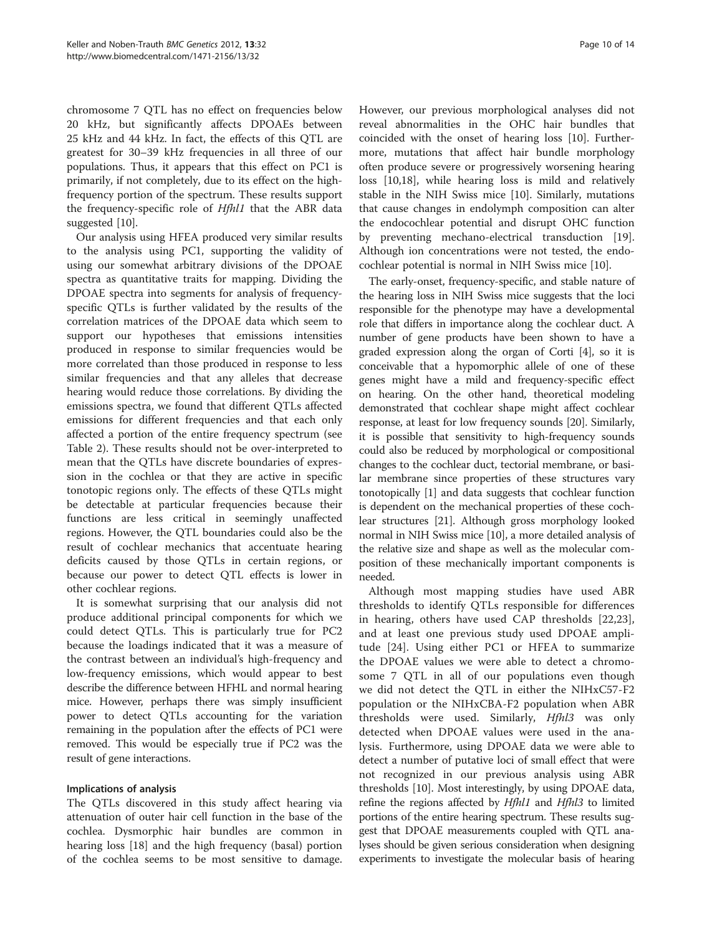chromosome 7 QTL has no effect on frequencies below 20 kHz, but significantly affects DPOAEs between 25 kHz and 44 kHz. In fact, the effects of this QTL are greatest for 30–39 kHz frequencies in all three of our populations. Thus, it appears that this effect on PC1 is primarily, if not completely, due to its effect on the highfrequency portion of the spectrum. These results support the frequency-specific role of Hfhl1 that the ABR data suggested [\[10\]](#page-13-0).

Our analysis using HFEA produced very similar results to the analysis using PC1, supporting the validity of using our somewhat arbitrary divisions of the DPOAE spectra as quantitative traits for mapping. Dividing the DPOAE spectra into segments for analysis of frequencyspecific QTLs is further validated by the results of the correlation matrices of the DPOAE data which seem to support our hypotheses that emissions intensities produced in response to similar frequencies would be more correlated than those produced in response to less similar frequencies and that any alleles that decrease hearing would reduce those correlations. By dividing the emissions spectra, we found that different QTLs affected emissions for different frequencies and that each only affected a portion of the entire frequency spectrum (see Table [2\)](#page-5-0). These results should not be over-interpreted to mean that the QTLs have discrete boundaries of expression in the cochlea or that they are active in specific tonotopic regions only. The effects of these QTLs might be detectable at particular frequencies because their functions are less critical in seemingly unaffected regions. However, the QTL boundaries could also be the result of cochlear mechanics that accentuate hearing deficits caused by those QTLs in certain regions, or because our power to detect QTL effects is lower in other cochlear regions.

It is somewhat surprising that our analysis did not produce additional principal components for which we could detect QTLs. This is particularly true for PC2 because the loadings indicated that it was a measure of the contrast between an individual's high-frequency and low-frequency emissions, which would appear to best describe the difference between HFHL and normal hearing mice. However, perhaps there was simply insufficient power to detect QTLs accounting for the variation remaining in the population after the effects of PC1 were removed. This would be especially true if PC2 was the result of gene interactions.

# Implications of analysis

The QTLs discovered in this study affect hearing via attenuation of outer hair cell function in the base of the cochlea. Dysmorphic hair bundles are common in hearing loss [[18\]](#page-13-0) and the high frequency (basal) portion of the cochlea seems to be most sensitive to damage.

However, our previous morphological analyses did not reveal abnormalities in the OHC hair bundles that coincided with the onset of hearing loss [\[10\]](#page-13-0). Furthermore, mutations that affect hair bundle morphology often produce severe or progressively worsening hearing loss [[10](#page-13-0),[18](#page-13-0)], while hearing loss is mild and relatively stable in the NIH Swiss mice [\[10](#page-13-0)]. Similarly, mutations that cause changes in endolymph composition can alter the endocochlear potential and disrupt OHC function by preventing mechano-electrical transduction [[19](#page-13-0)]. Although ion concentrations were not tested, the endocochlear potential is normal in NIH Swiss mice [\[10\]](#page-13-0).

The early-onset, frequency-specific, and stable nature of the hearing loss in NIH Swiss mice suggests that the loci responsible for the phenotype may have a developmental role that differs in importance along the cochlear duct. A number of gene products have been shown to have a graded expression along the organ of Corti [\[4](#page-13-0)], so it is conceivable that a hypomorphic allele of one of these genes might have a mild and frequency-specific effect on hearing. On the other hand, theoretical modeling demonstrated that cochlear shape might affect cochlear response, at least for low frequency sounds [[20](#page-13-0)]. Similarly, it is possible that sensitivity to high-frequency sounds could also be reduced by morphological or compositional changes to the cochlear duct, tectorial membrane, or basilar membrane since properties of these structures vary tonotopically [\[1\]](#page-13-0) and data suggests that cochlear function is dependent on the mechanical properties of these cochlear structures [[21](#page-13-0)]. Although gross morphology looked normal in NIH Swiss mice [\[10\]](#page-13-0), a more detailed analysis of the relative size and shape as well as the molecular composition of these mechanically important components is needed.

Although most mapping studies have used ABR thresholds to identify QTLs responsible for differences in hearing, others have used CAP thresholds [[22,23](#page-13-0)], and at least one previous study used DPOAE amplitude [[24\]](#page-13-0). Using either PC1 or HFEA to summarize the DPOAE values we were able to detect a chromosome 7 QTL in all of our populations even though we did not detect the QTL in either the NIHxC57-F2 population or the NIHxCBA-F2 population when ABR thresholds were used. Similarly, Hfhl3 was only detected when DPOAE values were used in the analysis. Furthermore, using DPOAE data we were able to detect a number of putative loci of small effect that were not recognized in our previous analysis using ABR thresholds [\[10\]](#page-13-0). Most interestingly, by using DPOAE data, refine the regions affected by *Hfhl1* and *Hfhl3* to limited portions of the entire hearing spectrum. These results suggest that DPOAE measurements coupled with QTL analyses should be given serious consideration when designing experiments to investigate the molecular basis of hearing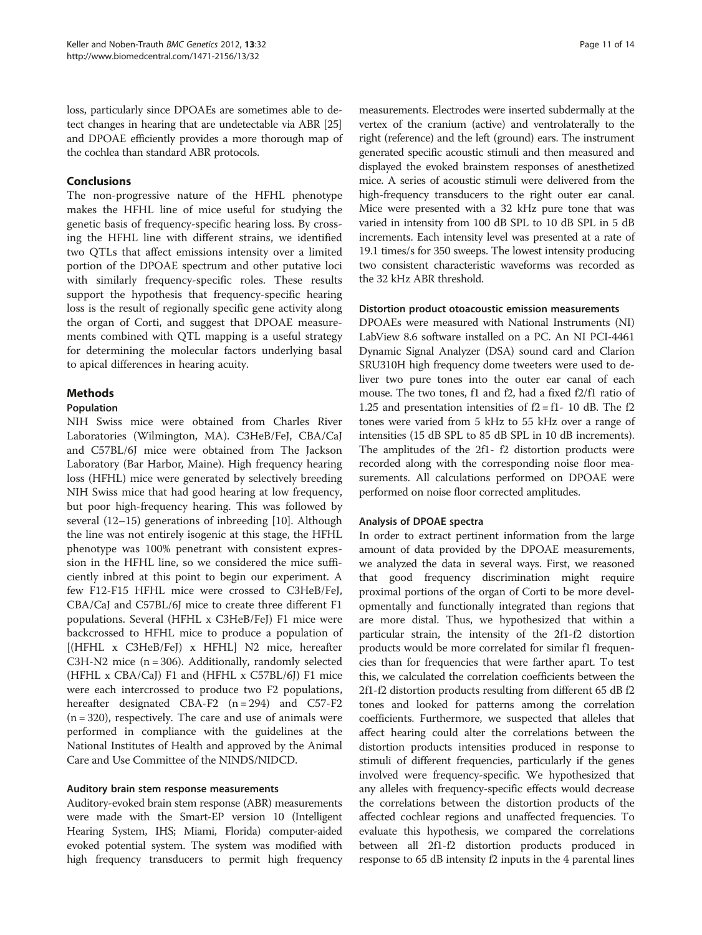loss, particularly since DPOAEs are sometimes able to detect changes in hearing that are undetectable via ABR [[25](#page-13-0)] and DPOAE efficiently provides a more thorough map of the cochlea than standard ABR protocols.

#### Conclusions

The non-progressive nature of the HFHL phenotype makes the HFHL line of mice useful for studying the genetic basis of frequency-specific hearing loss. By crossing the HFHL line with different strains, we identified two QTLs that affect emissions intensity over a limited portion of the DPOAE spectrum and other putative loci with similarly frequency-specific roles. These results support the hypothesis that frequency-specific hearing loss is the result of regionally specific gene activity along the organ of Corti, and suggest that DPOAE measurements combined with QTL mapping is a useful strategy for determining the molecular factors underlying basal to apical differences in hearing acuity.

# Methods

#### Population

NIH Swiss mice were obtained from Charles River Laboratories (Wilmington, MA). C3HeB/FeJ, CBA/CaJ and C57BL/6J mice were obtained from The Jackson Laboratory (Bar Harbor, Maine). High frequency hearing loss (HFHL) mice were generated by selectively breeding NIH Swiss mice that had good hearing at low frequency, but poor high-frequency hearing. This was followed by several (12–15) generations of inbreeding [[10\]](#page-13-0). Although the line was not entirely isogenic at this stage, the HFHL phenotype was 100% penetrant with consistent expression in the HFHL line, so we considered the mice sufficiently inbred at this point to begin our experiment. A few F12-F15 HFHL mice were crossed to C3HeB/FeJ, CBA/CaJ and C57BL/6J mice to create three different F1 populations. Several (HFHL x C3HeB/FeJ) F1 mice were backcrossed to HFHL mice to produce a population of [(HFHL x C3HeB/FeJ) x HFHL] N2 mice, hereafter C3H-N2 mice (n = 306). Additionally, randomly selected (HFHL x CBA/CaJ) F1 and (HFHL x C57BL/6J) F1 mice were each intercrossed to produce two F2 populations, hereafter designated CBA-F2  $(n = 294)$  and C57-F2  $(n = 320)$ , respectively. The care and use of animals were performed in compliance with the guidelines at the National Institutes of Health and approved by the Animal Care and Use Committee of the NINDS/NIDCD.

#### Auditory brain stem response measurements

Auditory-evoked brain stem response (ABR) measurements were made with the Smart-EP version 10 (Intelligent Hearing System, IHS; Miami, Florida) computer-aided evoked potential system. The system was modified with high frequency transducers to permit high frequency

measurements. Electrodes were inserted subdermally at the vertex of the cranium (active) and ventrolaterally to the right (reference) and the left (ground) ears. The instrument generated specific acoustic stimuli and then measured and displayed the evoked brainstem responses of anesthetized mice. A series of acoustic stimuli were delivered from the high-frequency transducers to the right outer ear canal. Mice were presented with a 32 kHz pure tone that was varied in intensity from 100 dB SPL to 10 dB SPL in 5 dB increments. Each intensity level was presented at a rate of 19.1 times/s for 350 sweeps. The lowest intensity producing two consistent characteristic waveforms was recorded as the 32 kHz ABR threshold.

#### Distortion product otoacoustic emission measurements

DPOAEs were measured with National Instruments (NI) LabView 8.6 software installed on a PC. An NI PCI-4461 Dynamic Signal Analyzer (DSA) sound card and Clarion SRU310H high frequency dome tweeters were used to deliver two pure tones into the outer ear canal of each mouse. The two tones, f1 and f2, had a fixed f2/f1 ratio of 1.25 and presentation intensities of  $f2 = f1 - 10$  dB. The  $f2$ tones were varied from 5 kHz to 55 kHz over a range of intensities (15 dB SPL to 85 dB SPL in 10 dB increments). The amplitudes of the 2f1- f2 distortion products were recorded along with the corresponding noise floor measurements. All calculations performed on DPOAE were performed on noise floor corrected amplitudes.

#### Analysis of DPOAE spectra

In order to extract pertinent information from the large amount of data provided by the DPOAE measurements, we analyzed the data in several ways. First, we reasoned that good frequency discrimination might require proximal portions of the organ of Corti to be more developmentally and functionally integrated than regions that are more distal. Thus, we hypothesized that within a particular strain, the intensity of the 2f1-f2 distortion products would be more correlated for similar f1 frequencies than for frequencies that were farther apart. To test this, we calculated the correlation coefficients between the 2f1-f2 distortion products resulting from different 65 dB f2 tones and looked for patterns among the correlation coefficients. Furthermore, we suspected that alleles that affect hearing could alter the correlations between the distortion products intensities produced in response to stimuli of different frequencies, particularly if the genes involved were frequency-specific. We hypothesized that any alleles with frequency-specific effects would decrease the correlations between the distortion products of the affected cochlear regions and unaffected frequencies. To evaluate this hypothesis, we compared the correlations between all 2f1-f2 distortion products produced in response to 65 dB intensity f2 inputs in the 4 parental lines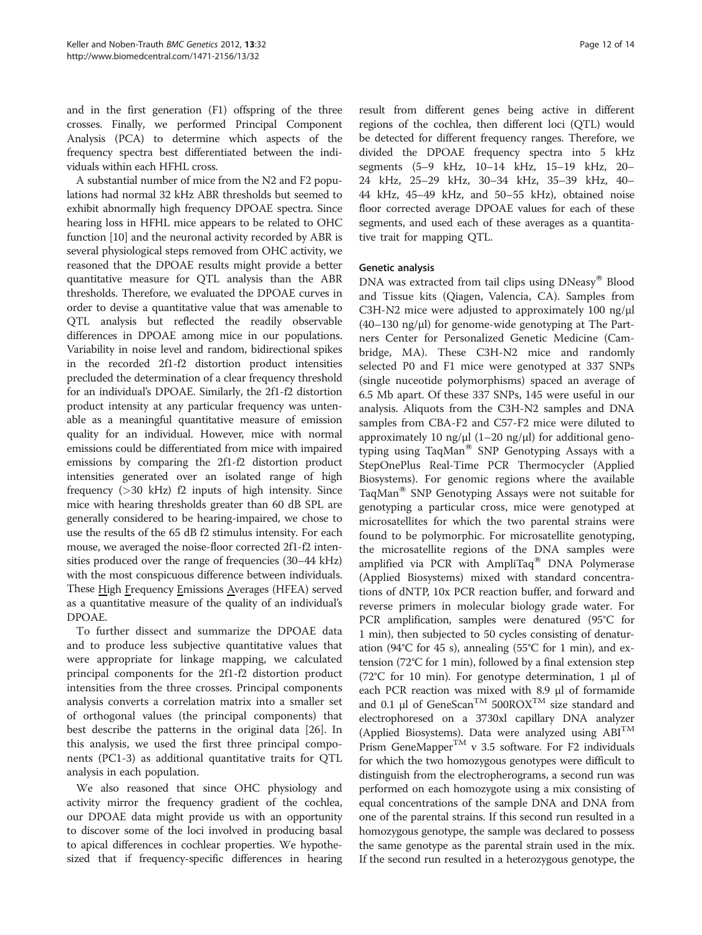and in the first generation (F1) offspring of the three crosses. Finally, we performed Principal Component Analysis (PCA) to determine which aspects of the frequency spectra best differentiated between the individuals within each HFHL cross.

A substantial number of mice from the N2 and F2 populations had normal 32 kHz ABR thresholds but seemed to exhibit abnormally high frequency DPOAE spectra. Since hearing loss in HFHL mice appears to be related to OHC function [[10](#page-13-0)] and the neuronal activity recorded by ABR is several physiological steps removed from OHC activity, we reasoned that the DPOAE results might provide a better quantitative measure for QTL analysis than the ABR thresholds. Therefore, we evaluated the DPOAE curves in order to devise a quantitative value that was amenable to QTL analysis but reflected the readily observable differences in DPOAE among mice in our populations. Variability in noise level and random, bidirectional spikes in the recorded 2f1-f2 distortion product intensities precluded the determination of a clear frequency threshold for an individual's DPOAE. Similarly, the 2f1-f2 distortion product intensity at any particular frequency was untenable as a meaningful quantitative measure of emission quality for an individual. However, mice with normal emissions could be differentiated from mice with impaired emissions by comparing the 2f1-f2 distortion product intensities generated over an isolated range of high frequency  $(>30 \text{ kHz})$  f2 inputs of high intensity. Since mice with hearing thresholds greater than 60 dB SPL are generally considered to be hearing-impaired, we chose to use the results of the 65 dB f2 stimulus intensity. For each mouse, we averaged the noise-floor corrected 2f1-f2 intensities produced over the range of frequencies (30–44 kHz) with the most conspicuous difference between individuals. These High Frequency Emissions Averages (HFEA) served as a quantitative measure of the quality of an individual's DPOAE.

To further dissect and summarize the DPOAE data and to produce less subjective quantitative values that were appropriate for linkage mapping, we calculated principal components for the 2f1-f2 distortion product intensities from the three crosses. Principal components analysis converts a correlation matrix into a smaller set of orthogonal values (the principal components) that best describe the patterns in the original data [\[26\]](#page-13-0). In this analysis, we used the first three principal components (PC1-3) as additional quantitative traits for QTL analysis in each population.

We also reasoned that since OHC physiology and activity mirror the frequency gradient of the cochlea, our DPOAE data might provide us with an opportunity to discover some of the loci involved in producing basal to apical differences in cochlear properties. We hypothesized that if frequency-specific differences in hearing

result from different genes being active in different regions of the cochlea, then different loci (QTL) would be detected for different frequency ranges. Therefore, we divided the DPOAE frequency spectra into 5 kHz segments (5–9 kHz, 10–14 kHz, 15–19 kHz, 20– 24 kHz, 25–29 kHz, 30–34 kHz, 35–39 kHz, 40– 44 kHz, 45–49 kHz, and 50–55 kHz), obtained noise floor corrected average DPOAE values for each of these segments, and used each of these averages as a quantitative trait for mapping QTL.

# Genetic analysis

DNA was extracted from tail clips using  $DNeasy^{\otimes}$  Blood and Tissue kits (Qiagen, Valencia, CA). Samples from C3H-N2 mice were adjusted to approximately 100 ng/μl (40–130 ng/μl) for genome-wide genotyping at The Partners Center for Personalized Genetic Medicine (Cambridge, MA). These C3H-N2 mice and randomly selected P0 and F1 mice were genotyped at 337 SNPs (single nuceotide polymorphisms) spaced an average of 6.5 Mb apart. Of these 337 SNPs, 145 were useful in our analysis. Aliquots from the C3H-N2 samples and DNA samples from CBA-F2 and C57-F2 mice were diluted to approximately 10 ng/μl (1–20 ng/μl) for additional genotyping using TaqMan<sup>®</sup> SNP Genotyping Assays with a StepOnePlus Real-Time PCR Thermocycler (Applied Biosystems). For genomic regions where the available TaqMan<sup>®</sup> SNP Genotyping Assays were not suitable for genotyping a particular cross, mice were genotyped at microsatellites for which the two parental strains were found to be polymorphic. For microsatellite genotyping, the microsatellite regions of the DNA samples were amplified via PCR with  $AmpliTaq^@$  DNA Polymerase (Applied Biosystems) mixed with standard concentrations of dNTP, 10x PCR reaction buffer, and forward and reverse primers in molecular biology grade water. For PCR amplification, samples were denatured (95°C for 1 min), then subjected to 50 cycles consisting of denaturation (94°C for 45 s), annealing (55°C for 1 min), and extension (72°C for 1 min), followed by a final extension step (72°C for 10 min). For genotype determination, 1 μl of each PCR reaction was mixed with 8.9 μl of formamide and 0.1  $\mu$ l of GeneScan<sup>TM</sup> 500ROX<sup>TM</sup> size standard and electrophoresed on a 3730xl capillary DNA analyzer (Applied Biosystems). Data were analyzed using  $ABI<sup>TM</sup>$ Prism GeneMapper<sup>TM</sup> v 3.5 software. For F2 individuals for which the two homozygous genotypes were difficult to distinguish from the electropherograms, a second run was performed on each homozygote using a mix consisting of equal concentrations of the sample DNA and DNA from one of the parental strains. If this second run resulted in a homozygous genotype, the sample was declared to possess the same genotype as the parental strain used in the mix. If the second run resulted in a heterozygous genotype, the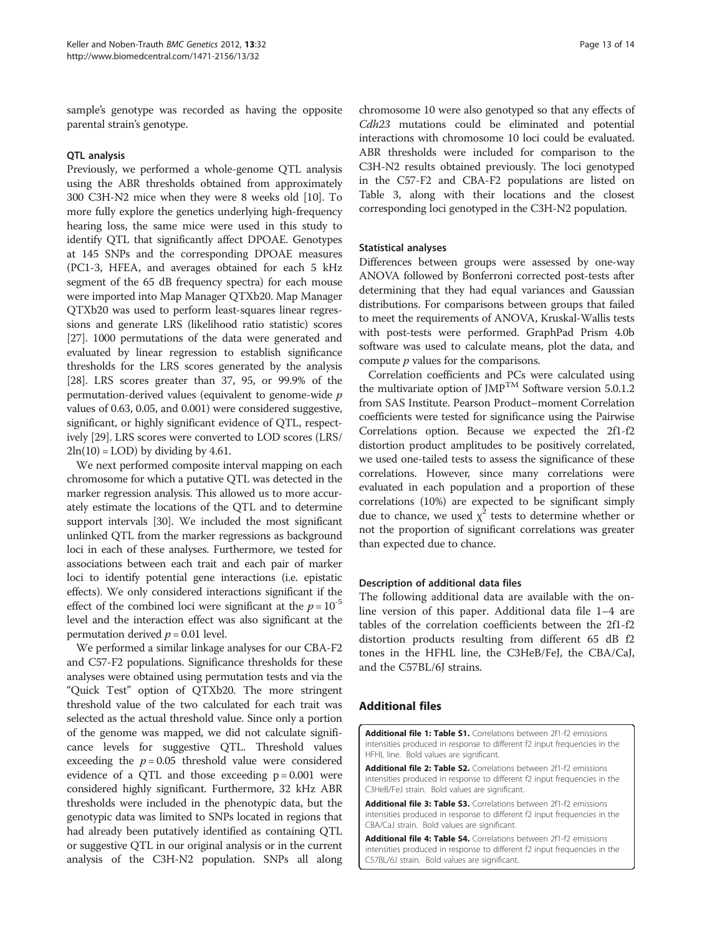<span id="page-12-0"></span>sample's genotype was recorded as having the opposite parental strain's genotype.

#### QTL analysis

Previously, we performed a whole-genome QTL analysis using the ABR thresholds obtained from approximately 300 C3H-N2 mice when they were 8 weeks old [[10](#page-13-0)]. To more fully explore the genetics underlying high-frequency hearing loss, the same mice were used in this study to identify QTL that significantly affect DPOAE. Genotypes at 145 SNPs and the corresponding DPOAE measures (PC1-3, HFEA, and averages obtained for each 5 kHz segment of the 65 dB frequency spectra) for each mouse were imported into Map Manager QTXb20. Map Manager QTXb20 was used to perform least-squares linear regressions and generate LRS (likelihood ratio statistic) scores [[27](#page-13-0)]. 1000 permutations of the data were generated and evaluated by linear regression to establish significance thresholds for the LRS scores generated by the analysis [[28](#page-13-0)]. LRS scores greater than 37, 95, or 99.9% of the permutation-derived values (equivalent to genome-wide p values of 0.63, 0.05, and 0.001) were considered suggestive, significant, or highly significant evidence of QTL, respectively [\[29\]](#page-13-0). LRS scores were converted to LOD scores (LRS/  $2\ln(10) =$  LOD) by dividing by 4.61.

We next performed composite interval mapping on each chromosome for which a putative QTL was detected in the marker regression analysis. This allowed us to more accurately estimate the locations of the QTL and to determine support intervals [[30](#page-13-0)]. We included the most significant unlinked QTL from the marker regressions as background loci in each of these analyses. Furthermore, we tested for associations between each trait and each pair of marker loci to identify potential gene interactions (i.e. epistatic effects). We only considered interactions significant if the effect of the combined loci were significant at the  $p = 10^{-5}$ level and the interaction effect was also significant at the permutation derived  $p = 0.01$  level.

We performed a similar linkage analyses for our CBA-F2 and C57-F2 populations. Significance thresholds for these analyses were obtained using permutation tests and via the "Quick Test" option of QTXb20. The more stringent threshold value of the two calculated for each trait was selected as the actual threshold value. Since only a portion of the genome was mapped, we did not calculate significance levels for suggestive QTL. Threshold values exceeding the  $p = 0.05$  threshold value were considered evidence of a QTL and those exceeding  $p = 0.001$  were considered highly significant. Furthermore, 32 kHz ABR thresholds were included in the phenotypic data, but the genotypic data was limited to SNPs located in regions that had already been putatively identified as containing QTL or suggestive QTL in our original analysis or in the current analysis of the C3H-N2 population. SNPs all along

chromosome 10 were also genotyped so that any effects of Cdh23 mutations could be eliminated and potential interactions with chromosome 10 loci could be evaluated. ABR thresholds were included for comparison to the C3H-N2 results obtained previously. The loci genotyped in the C57-F2 and CBA-F2 populations are listed on Table [3](#page-7-0), along with their locations and the closest corresponding loci genotyped in the C3H-N2 population.

#### Statistical analyses

Differences between groups were assessed by one-way ANOVA followed by Bonferroni corrected post-tests after determining that they had equal variances and Gaussian distributions. For comparisons between groups that failed to meet the requirements of ANOVA, Kruskal-Wallis tests with post-tests were performed. GraphPad Prism 4.0b software was used to calculate means, plot the data, and compute p values for the comparisons.

Correlation coefficients and PCs were calculated using the multivariate option of JMP<sup>TM</sup> Software version 5.0.1.2 from SAS Institute. Pearson Product–moment Correlation coefficients were tested for significance using the Pairwise Correlations option. Because we expected the 2f1-f2 distortion product amplitudes to be positively correlated, we used one-tailed tests to assess the significance of these correlations. However, since many correlations were evaluated in each population and a proportion of these correlations (10%) are expected to be significant simply due to chance, we used  $\chi^2$  tests to determine whether or not the proportion of significant correlations was greater than expected due to chance.

#### Description of additional data files

The following additional data are available with the online version of this paper. Additional data file 1–4 are tables of the correlation coefficients between the 2f1-f2 distortion products resulting from different 65 dB f2 tones in the HFHL line, the C3HeB/FeJ, the CBA/CaJ, and the C57BL/6J strains.

#### Additional files

[Additional file 1: Table S1.](http://www.biomedcentral.com/content/supplementary/1471-2156-13-32-S1.xlsx) Correlations between 2f1-f2 emissions intensities produced in response to different f2 input frequencies in the HFHL line. Bold values are significant.

[Additional file 2: Table S2.](http://www.biomedcentral.com/content/supplementary/1471-2156-13-32-S2.xlsx) Correlations between 2f1-f2 emissions intensities produced in response to different f2 input frequencies in the C3HeB/FeJ strain. Bold values are significant.

[Additional file 3: Table S3.](http://www.biomedcentral.com/content/supplementary/1471-2156-13-32-S3.xlsx) Correlations between 2f1-f2 emissions intensities produced in response to different f2 input frequencies in the CBA/CaJ strain. Bold values are significant.

[Additional file 4: Table S4.](http://www.biomedcentral.com/content/supplementary/1471-2156-13-32-S4.xlsx) Correlations between 2f1-f2 emissions intensities produced in response to different f2 input frequencies in the C57BL/6J strain. Bold values are significant.